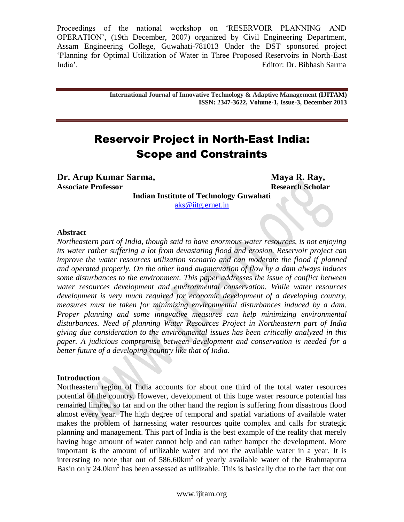> **International Journal of Innovative Technology & Adaptive Management (IJITAM) ISSN: 2347-3622, Volume-1, Issue-3, December 2013**

# Reservoir Project in North-East India: Scope and Constraints

**Dr. Arup Kumar Sarma, Maya R. Ray, Maya R. Ray, Associate Professor Research Scholar**

**Indian Institute of Technology Guwahati** [aks@iitg.ernet.in](mailto:aks@iitg.ernet.in)

#### **Abstract**

*Northeastern part of India, though said to have enormous water resources, is not enjoying its water rather suffering a lot from devastating flood and erosion. Reservoir project can improve the water resources utilization scenario and can moderate the flood if planned and operated properly. On the other hand augmentation of flow by a dam always induces some disturbances to the environment. This paper addresses the issue of conflict between water resources development and environmental conservation. While water resources development is very much required for economic development of a developing country, measures must be taken for minimizing environmental disturbances induced by a dam. Proper planning and some innovative measures can help minimizing environmental disturbances. Need of planning Water Resources Project in Northeastern part of India giving due consideration to the environmental issues has been critically analyzed in this paper. A judicious compromise between development and conservation is needed for a better future of a developing country like that of India.*

#### **Introduction**

Northeastern region of India accounts for about one third of the total water resources potential of the country. However, development of this huge water resource potential has remained limited so far and on the other hand the region is suffering from disastrous flood almost every year. The high degree of temporal and spatial variations of available water makes the problem of harnessing water resources quite complex and calls for strategic planning and management. This part of India is the best example of the reality that merely having huge amount of water cannot help and can rather hamper the development. More important is the amount of utilizable water and not the available water in a year. It is interesting to note that out of  $586.60 \text{km}^3$  of yearly available water of the Brahmaputra Basin only 24.0km<sup>3</sup> has been assessed as utilizable. This is basically due to the fact that out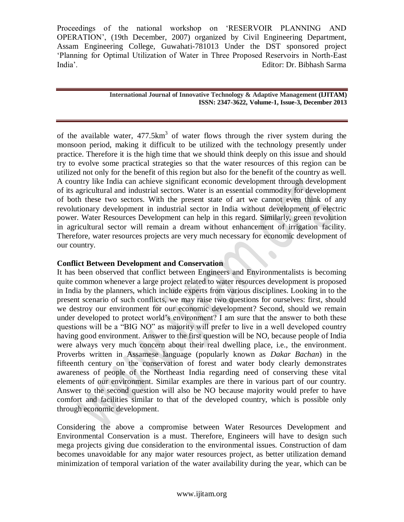> **International Journal of Innovative Technology & Adaptive Management (IJITAM) ISSN: 2347-3622, Volume-1, Issue-3, December 2013**

> > $\bullet$

of the available water,  $477.5 \text{km}^3$  of water flows through the river system during the monsoon period, making it difficult to be utilized with the technology presently under practice. Therefore it is the high time that we should think deeply on this issue and should try to evolve some practical strategies so that the water resources of this region can be utilized not only for the benefit of this region but also for the benefit of the country as well. A country like India can achieve significant economic development through development of its agricultural and industrial sectors. Water is an essential commodity for development of both these two sectors. With the present state of art we cannot even think of any revolutionary development in industrial sector in India without development of electric power. Water Resources Development can help in this regard. Similarly, green revolution in agricultural sector will remain a dream without enhancement of irrigation facility. Therefore, water resources projects are very much necessary for economic development of our country.

## **Conflict Between Development and Conservation**

It has been observed that conflict between Engineers and Environmentalists is becoming quite common whenever a large project related to water resources development is proposed in India by the planners, which include experts from various disciplines. Looking in to the present scenario of such conflicts, we may raise two questions for ourselves: first, should we destroy our environment for our economic development? Second, should we remain under developed to protect world"s environment? I am sure that the answer to both these questions will be a "BIG NO" as majority will prefer to live in a well developed country having good environment. Answer to the first question will be NO, because people of India were always very much concern about their real dwelling place, i.e., the environment. Proverbs written in Assamese language (popularly known as *Dakar Bachan*) in the fifteenth century on the conservation of forest and water body clearly demonstrates awareness of people of the Northeast India regarding need of conserving these vital elements of our environment. Similar examples are there in various part of our country. Answer to the second question will also be NO because majority would prefer to have comfort and facilities similar to that of the developed country, which is possible only through economic development.

Considering the above a compromise between Water Resources Development and Environmental Conservation is a must. Therefore, Engineers will have to design such mega projects giving due consideration to the environmental issues. Construction of dam becomes unavoidable for any major water resources project, as better utilization demand minimization of temporal variation of the water availability during the year, which can be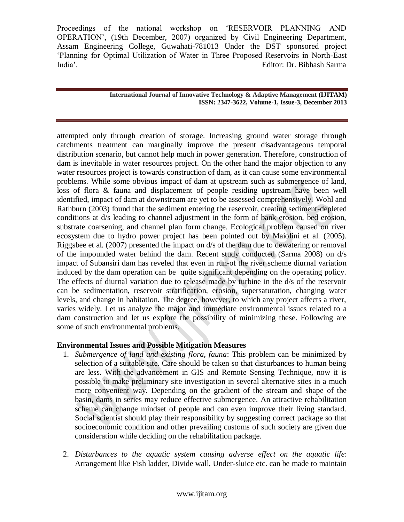> **International Journal of Innovative Technology & Adaptive Management (IJITAM) ISSN: 2347-3622, Volume-1, Issue-3, December 2013**

attempted only through creation of storage. Increasing ground water storage through catchments treatment can marginally improve the present disadvantageous temporal distribution scenario, but cannot help much in power generation. Therefore, construction of dam is inevitable in water resources project. On the other hand the major objection to any water resources project is towards construction of dam, as it can cause some environmental problems. While some obvious impact of dam at upstream such as submergence of land, loss of flora & fauna and displacement of people residing upstream have been well identified, impact of dam at downstream are yet to be assessed comprehensively. Wohl and Rathburn (2003) found that the sediment entering the reservoir, creating sediment-depleted conditions at d/s leading to channel adjustment in the form of bank erosion, bed erosion, substrate coarsening, and channel plan form change. Ecological problem caused on river ecosystem due to hydro power project has been pointed out by Maiolini et al. (2005). Riggsbee et al. (2007) presented the impact on d/s of the dam due to dewatering or removal of the impounded water behind the dam. Recent study conducted (Sarma 2008) on d/s impact of Subansiri dam has reveled that even in run-of the river scheme diurnal variation induced by the dam operation can be quite significant depending on the operating policy. The effects of diurnal variation due to release made by turbine in the d/s of the reservoir can be sedimentation, reservoir stratification, erosion, supersaturation, changing water levels, and change in habitation. The degree, however, to which any project affects a river, varies widely. Let us analyze the major and immediate environmental issues related to a dam construction and let us explore the possibility of minimizing these. Following are some of such environmental problems.

## **Environmental Issues and Possible Mitigation Measures**

- 1. *Submergence of land and existing flora, fauna*: This problem can be minimized by selection of a suitable site. Care should be taken so that disturbances to human being are less. With the advancement in GIS and Remote Sensing Technique, now it is possible to make preliminary site investigation in several alternative sites in a much more convenient way. Depending on the gradient of the stream and shape of the basin, dams in series may reduce effective submergence. An attractive rehabilitation scheme can change mindset of people and can even improve their living standard. Social scientist should play their responsibility by suggesting correct package so that socioeconomic condition and other prevailing customs of such society are given due consideration while deciding on the rehabilitation package.
- 2. *Disturbances to the aquatic system causing adverse effect on the aquatic life*: Arrangement like Fish ladder, Divide wall, Under-sluice etc. can be made to maintain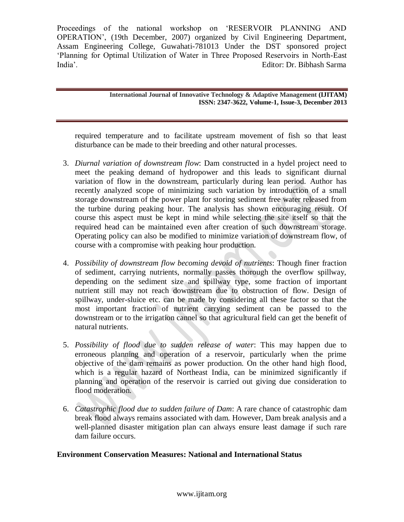> **International Journal of Innovative Technology & Adaptive Management (IJITAM) ISSN: 2347-3622, Volume-1, Issue-3, December 2013**

required temperature and to facilitate upstream movement of fish so that least disturbance can be made to their breeding and other natural processes.

- 3. *Diurnal variation of downstream flow*: Dam constructed in a hydel project need to meet the peaking demand of hydropower and this leads to significant diurnal variation of flow in the downstream, particularly during lean period. Author has recently analyzed scope of minimizing such variation by introduction of a small storage downstream of the power plant for storing sediment free water released from the turbine during peaking hour. The analysis has shown encouraging result. Of course this aspect must be kept in mind while selecting the site itself so that the required head can be maintained even after creation of such downstream storage. Operating policy can also be modified to minimize variation of downstream flow, of course with a compromise with peaking hour production.
- 4. *Possibility of downstream flow becoming devoid of nutrients*: Though finer fraction of sediment, carrying nutrients, normally passes thorough the overflow spillway, depending on the sediment size and spillway type, some fraction of important nutrient still may not reach downstream due to obstruction of flow. Design of spillway, under-sluice etc. can be made by considering all these factor so that the most important fraction of nutrient carrying sediment can be passed to the downstream or to the irrigation cannel so that agricultural field can get the benefit of natural nutrients.
- 5. *Possibility of flood due to sudden release of water*: This may happen due to erroneous planning and operation of a reservoir, particularly when the prime objective of the dam remains as power production. On the other hand high flood, which is a regular hazard of Northeast India, can be minimized significantly if planning and operation of the reservoir is carried out giving due consideration to flood moderation.
- 6. *Catastrophic flood due to sudden failure of Dam*: A rare chance of catastrophic dam break flood always remains associated with dam. However, Dam break analysis and a well-planned disaster mitigation plan can always ensure least damage if such rare dam failure occurs.

## **Environment Conservation Measures: National and International Status**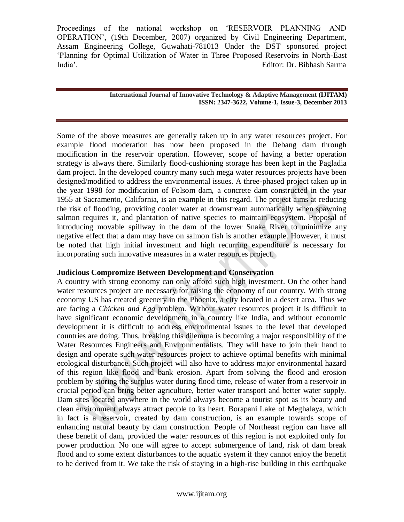> **International Journal of Innovative Technology & Adaptive Management (IJITAM) ISSN: 2347-3622, Volume-1, Issue-3, December 2013**

Some of the above measures are generally taken up in any water resources project. For example flood moderation has now been proposed in the Debang dam through modification in the reservoir operation. However, scope of having a better operation strategy is always there. Similarly flood-cushioning storage has been kept in the Pagladia dam project. In the developed country many such mega water resources projects have been designed/modified to address the environmental issues. A three-phased project taken up in the year 1998 for modification of Folsom dam, a concrete dam constructed in the year 1955 at Sacramento, California, is an example in this regard. The project aims at reducing the risk of flooding, providing cooler water at downstream automatically when spawning salmon requires it, and plantation of native species to maintain ecosystem. Proposal of introducing movable spillway in the dam of the lower Snake River to minimize any negative effect that a dam may have on salmon fish is another example. However, it must be noted that high initial investment and high recurring expenditure is necessary for incorporating such innovative measures in a water resources project.

## **Judicious Compromize Between Development and Conservation**

A country with strong economy can only afford such high investment. On the other hand water resources project are necessary for raising the economy of our country. With strong economy US has created greenery in the Phoenix, a city located in a desert area. Thus we are facing a *Chicken and Egg* problem. Without water resources project it is difficult to have significant economic development in a country like India, and without economic development it is difficult to address environmental issues to the level that developed countries are doing. Thus, breaking this dilemma is becoming a major responsibility of the Water Resources Engineers and Environmentalists. They will have to join their hand to design and operate such water resources project to achieve optimal benefits with minimal ecological disturbance. Such project will also have to address major environmental hazard of this region like flood and bank erosion. Apart from solving the flood and erosion problem by storing the surplus water during flood time, release of water from a reservoir in crucial period can bring better agriculture, better water transport and better water supply. Dam sites located anywhere in the world always become a tourist spot as its beauty and clean environment always attract people to its heart. Borapani Lake of Meghalaya, which in fact is a reservoir, created by dam construction, is an example towards scope of enhancing natural beauty by dam construction. People of Northeast region can have all these benefit of dam, provided the water resources of this region is not exploited only for power production. No one will agree to accept submergence of land, risk of dam break flood and to some extent disturbances to the aquatic system if they cannot enjoy the benefit to be derived from it. We take the risk of staying in a high-rise building in this earthquake